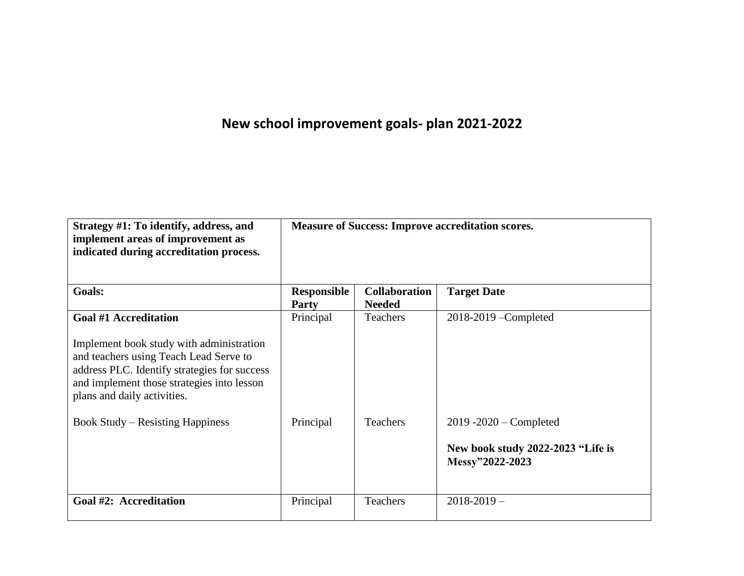## **New school improvement goals- plan 2021-2022**

| Strategy #1: To identify, address, and<br>implement areas of improvement as<br>indicated during accreditation process.                                                                                                                          | <b>Measure of Success: Improve accreditation scores.</b> |                                       |                                                                                   |
|-------------------------------------------------------------------------------------------------------------------------------------------------------------------------------------------------------------------------------------------------|----------------------------------------------------------|---------------------------------------|-----------------------------------------------------------------------------------|
| Goals:                                                                                                                                                                                                                                          | Responsible<br><b>Party</b>                              | <b>Collaboration</b><br><b>Needed</b> | <b>Target Date</b>                                                                |
| <b>Goal #1 Accreditation</b><br>Implement book study with administration<br>and teachers using Teach Lead Serve to<br>address PLC. Identify strategies for success<br>and implement those strategies into lesson<br>plans and daily activities. | Principal                                                | <b>Teachers</b>                       | $2018 - 2019$ -Completed                                                          |
| <b>Book Study – Resisting Happiness</b>                                                                                                                                                                                                         | Principal                                                | <b>Teachers</b>                       | $2019 - 2020$ – Completed<br>New book study 2022-2023 "Life is<br>Messy"2022-2023 |
| Goal #2: Accreditation                                                                                                                                                                                                                          | Principal                                                | <b>Teachers</b>                       | $2018 - 2019$ -                                                                   |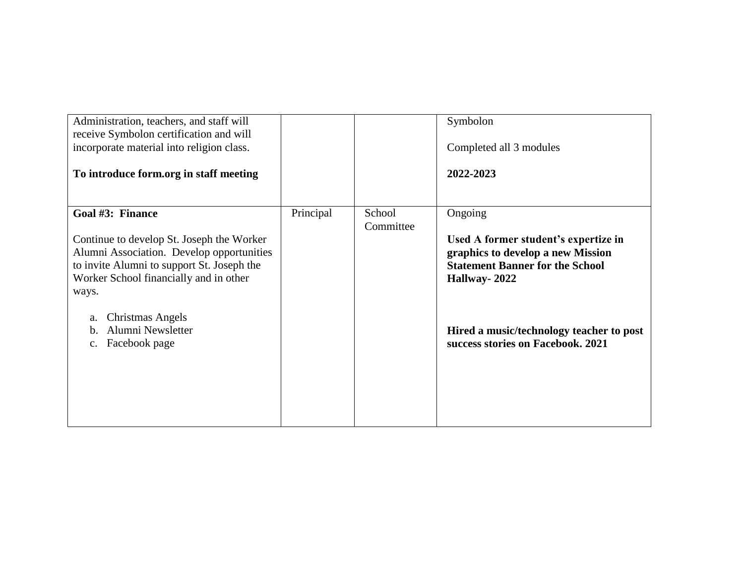| Administration, teachers, and staff will<br>receive Symbolon certification and will<br>incorporate material into religion class.<br>To introduce form.org in staff meeting |           |                     | Symbolon<br>Completed all 3 modules<br>2022-2023                                                                               |
|----------------------------------------------------------------------------------------------------------------------------------------------------------------------------|-----------|---------------------|--------------------------------------------------------------------------------------------------------------------------------|
| Goal #3: Finance<br>Continue to develop St. Joseph the Worker<br>Alumni Association. Develop opportunities<br>to invite Alumni to support St. Joseph the                   | Principal | School<br>Committee | Ongoing<br>Used A former student's expertize in<br>graphics to develop a new Mission<br><b>Statement Banner for the School</b> |
| Worker School financially and in other<br>ways.<br>Christmas Angels<br>a.<br>Alumni Newsletter<br>b.                                                                       |           |                     | Hallway-2022<br>Hired a music/technology teacher to post                                                                       |
| Facebook page<br>$\mathbf{C}$ .                                                                                                                                            |           |                     | success stories on Facebook. 2021                                                                                              |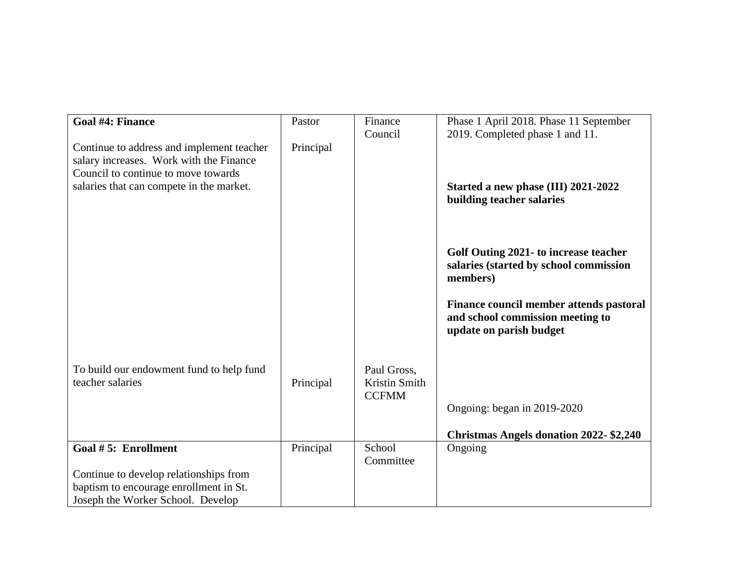| <b>Goal #4: Finance</b>                                                                                                     | Pastor    | Finance                                      | Phase 1 April 2018. Phase 11 September                                                                 |
|-----------------------------------------------------------------------------------------------------------------------------|-----------|----------------------------------------------|--------------------------------------------------------------------------------------------------------|
|                                                                                                                             |           | Council                                      | 2019. Completed phase 1 and 11.                                                                        |
| Continue to address and implement teacher<br>salary increases. Work with the Finance<br>Council to continue to move towards | Principal |                                              |                                                                                                        |
| salaries that can compete in the market.                                                                                    |           |                                              | Started a new phase (III) 2021-2022<br>building teacher salaries                                       |
|                                                                                                                             |           |                                              | Golf Outing 2021- to increase teacher<br>salaries (started by school commission<br>members)            |
|                                                                                                                             |           |                                              | Finance council member attends pastoral<br>and school commission meeting to<br>update on parish budget |
| To build our endowment fund to help fund<br>teacher salaries                                                                | Principal | Paul Gross,<br>Kristin Smith<br><b>CCFMM</b> |                                                                                                        |
|                                                                                                                             |           |                                              | Ongoing: began in 2019-2020                                                                            |
|                                                                                                                             |           |                                              | <b>Christmas Angels donation 2022-\$2,240</b>                                                          |
| Goal #5: Enrollment                                                                                                         | Principal | School<br>Committee                          | Ongoing                                                                                                |
| Continue to develop relationships from                                                                                      |           |                                              |                                                                                                        |
| baptism to encourage enrollment in St.                                                                                      |           |                                              |                                                                                                        |
| Joseph the Worker School. Develop                                                                                           |           |                                              |                                                                                                        |